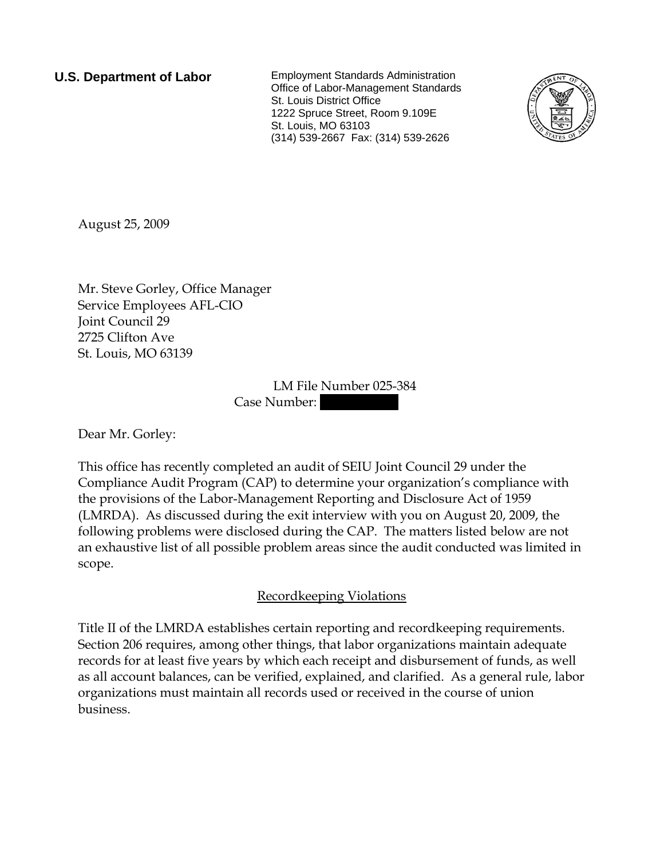**U.S. Department of Labor** Employment Standards Administration Office of Labor-Management Standards St. Louis District Office 1222 Spruce Street, Room 9.109E St. Louis, MO 63103 (314) 539-2667 Fax: (314) 539-2626



August 25, 2009

Mr. Steve Gorley, Office Manager Service Employees AFL-CIO Joint Council 29 2725 Clifton Ave St. Louis, MO 63139

> LM File Number 025-384 Case Number:

Dear Mr. Gorley:

This office has recently completed an audit of SEIU Joint Council 29 under the Compliance Audit Program (CAP) to determine your organization's compliance with the provisions of the Labor-Management Reporting and Disclosure Act of 1959 (LMRDA). As discussed during the exit interview with you on August 20, 2009, the following problems were disclosed during the CAP. The matters listed below are not an exhaustive list of all possible problem areas since the audit conducted was limited in scope.

## Recordkeeping Violations

Title II of the LMRDA establishes certain reporting and recordkeeping requirements. Section 206 requires, among other things, that labor organizations maintain adequate records for at least five years by which each receipt and disbursement of funds, as well as all account balances, can be verified, explained, and clarified. As a general rule, labor organizations must maintain all records used or received in the course of union business.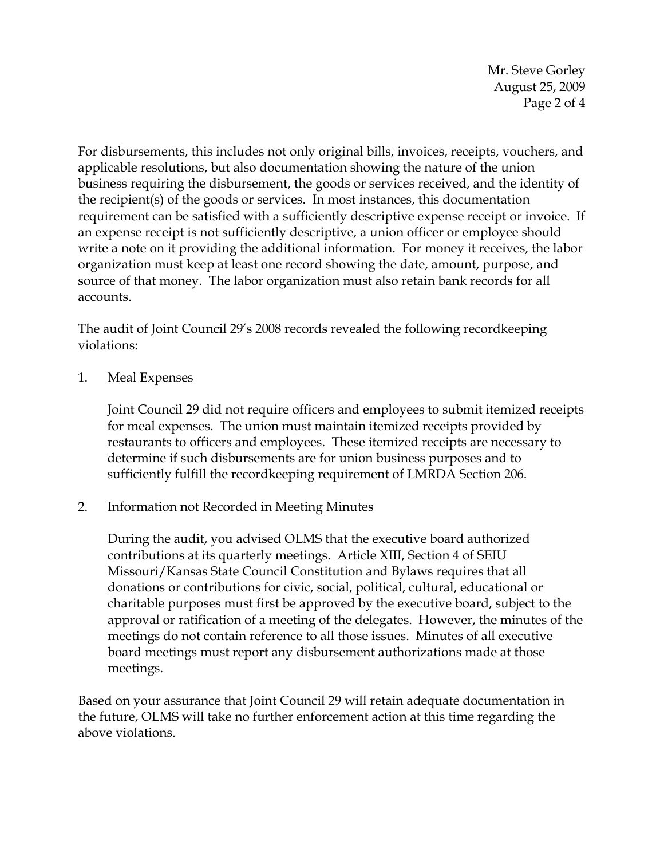Mr. Steve Gorley August 25, 2009 Page 2 of 4

For disbursements, this includes not only original bills, invoices, receipts, vouchers, and applicable resolutions, but also documentation showing the nature of the union business requiring the disbursement, the goods or services received, and the identity of the recipient(s) of the goods or services. In most instances, this documentation requirement can be satisfied with a sufficiently descriptive expense receipt or invoice. If an expense receipt is not sufficiently descriptive, a union officer or employee should write a note on it providing the additional information. For money it receives, the labor organization must keep at least one record showing the date, amount, purpose, and source of that money. The labor organization must also retain bank records for all accounts.

The audit of Joint Council 29's 2008 records revealed the following recordkeeping violations:

1. Meal Expenses

Joint Council 29 did not require officers and employees to submit itemized receipts for meal expenses. The union must maintain itemized receipts provided by restaurants to officers and employees. These itemized receipts are necessary to determine if such disbursements are for union business purposes and to sufficiently fulfill the recordkeeping requirement of LMRDA Section 206.

2. Information not Recorded in Meeting Minutes

During the audit, you advised OLMS that the executive board authorized contributions at its quarterly meetings. Article XIII, Section 4 of SEIU Missouri/Kansas State Council Constitution and Bylaws requires that all donations or contributions for civic, social, political, cultural, educational or charitable purposes must first be approved by the executive board, subject to the approval or ratification of a meeting of the delegates. However, the minutes of the meetings do not contain reference to all those issues. Minutes of all executive board meetings must report any disbursement authorizations made at those meetings.

Based on your assurance that Joint Council 29 will retain adequate documentation in the future, OLMS will take no further enforcement action at this time regarding the above violations.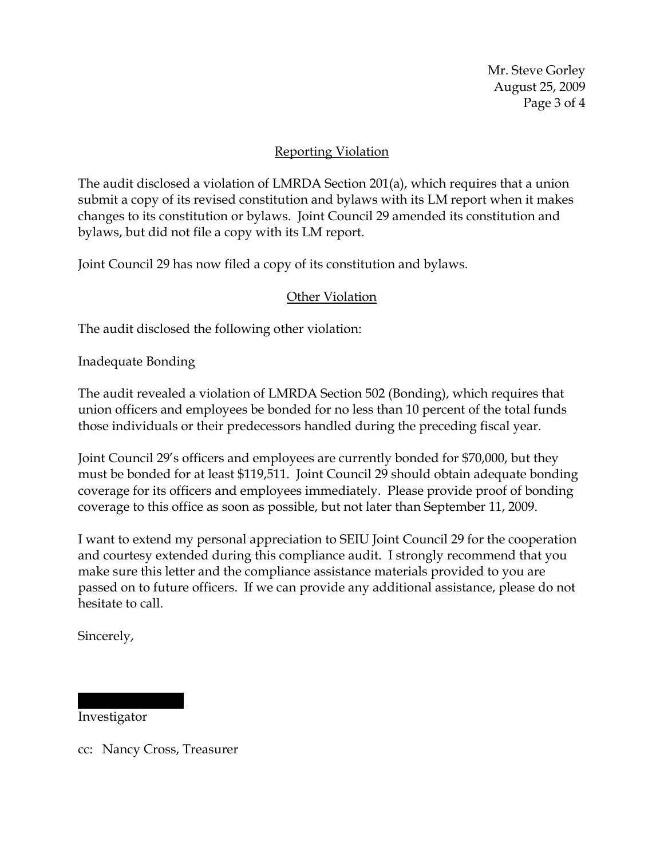Mr. Steve Gorley August 25, 2009 Page 3 of 4

## Reporting Violation

The audit disclosed a violation of LMRDA Section 201(a), which requires that a union submit a copy of its revised constitution and bylaws with its LM report when it makes changes to its constitution or bylaws. Joint Council 29 amended its constitution and bylaws, but did not file a copy with its LM report.

Joint Council 29 has now filed a copy of its constitution and bylaws.

## Other Violation

The audit disclosed the following other violation:

Inadequate Bonding

The audit revealed a violation of LMRDA Section 502 (Bonding), which requires that union officers and employees be bonded for no less than 10 percent of the total funds those individuals or their predecessors handled during the preceding fiscal year.

Joint Council 29's officers and employees are currently bonded for \$70,000, but they must be bonded for at least \$119,511. Joint Council 29 should obtain adequate bonding coverage for its officers and employees immediately. Please provide proof of bonding coverage to this office as soon as possible, but not later than September 11, 2009.

I want to extend my personal appreciation to SEIU Joint Council 29 for the cooperation and courtesy extended during this compliance audit. I strongly recommend that you make sure this letter and the compliance assistance materials provided to you are passed on to future officers. If we can provide any additional assistance, please do not hesitate to call.

Sincerely,

## Investigator

|||||| |||||||

cc: Nancy Cross, Treasurer